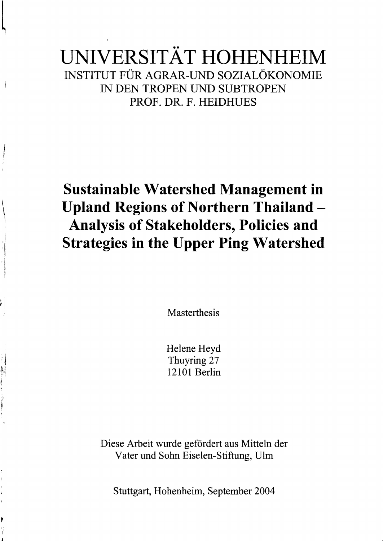# UNIVERSITÄT HOHENHEIM INSTITUT FÜR AGRAR-UND SOZIALÖKONOMIE IN DEN TROPEN UND SUBTROPEN PROF. DR. F. HEIDHUES

# **Sustainable Watershed Management in**  \ **Upland Regions of Northern Thailand Analysis of Stakeholders, Policies and**  Strategies in the Upper Ping Watershed

**Masterthesis** 

Helene Heyd Thuyring 27 12101 Berlin

Diese Arbeit wurde gefördert aus Mitteln der Vater und Sohn Eiselen-Stiftung, DIrn

Stuttgart, Hohenheim, September 2004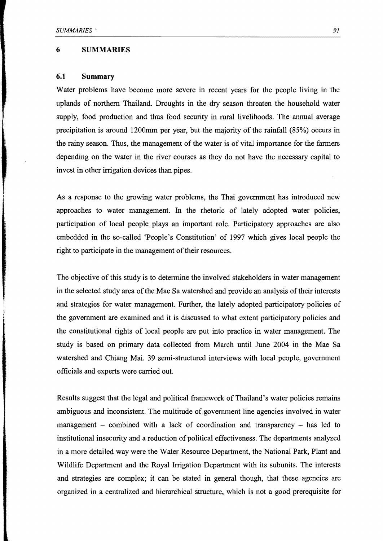#### **6 SUMMARIES**

### **6.1 Summary**

Water problems have become more severe in recent years for the people living in the uplands of northem Thailand. Droughts in the dry season threaten the household water supply, food production and thus food security in rural livelihoods. The annual average precipitation is around 1200mm per year, but the majority of the rainfall (85%) occurs in the rainy season. Thus, the management of the water is of vital importance for the farmers depending on the water in the river courses as they do not have the necessary capital to invest in other irrigation devices than pipes.

As a response to the growing water problems, the Thai govemment has introduced new approaches to water management. In the rhetoric of lately adopted water policies, participation of local people plays an important role. Participatory approaches are also embedded in the so-called 'People's Constitution' of 1997 which gives local people the right to participate in the management of their resources.

The objective of this study is to determine the involved stakeholders in water management in the selected study area of the Mae Sa watershed and provide an analysis of their interests and strategies for water management. Further, the lately adopted participatory policies of the govemment are examined and it is discussed to what extent participatory policies and the constitutional rights of local people are put into practice in water management. The study is based on primary data collected from March until June 2004 in the Mae Sa watershed and Chiang Mai. 39 semi-structured interviews with local people, govemment officials and experts were carried out.

Results suggest that the legal and political framework of Thailand's water policies remains ambiguous and inconsistent. The multitude of govemment line agencies involved in water management  $-$  combined with a lack of coordination and transparency  $-$  has led to institutional insecurity and a reduction of political effectiveness. The departments analyzed in a more detailed way were the Water Resource Department, the National Park, Plant and Wildlife Department and the Royal Irrigation Department with its subunits. The interests and strategies are complex; it can be stated in general though, that these agencies are organized in a centralized and hierarchical structure, which is not a good prerequisite for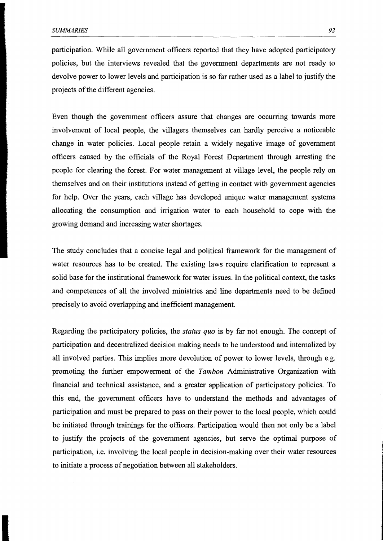participation. While all government officers reported that they have adopted participatory policies, but the interviews revealed that the government departments are not ready to devolve power to lower levels and participation is so far rather used as a label to justify the projects of the different agencies.

Even though the government officers assure that changes are occurring towards more involvement of local people, the villagers themselves can hardly perceive a noticeable change in water policies. Local people retain a widely negative image of government officers caused by the officials of the Royal Forest Department through arresting the people for clearing the forest. For water management at village level, the people rely on themselves and on their institutions instead of getting in contact with government agencies for help. Over the years, each village has developed unique water management systems allocating the consumption and irrigation water to each household to cope with the growing demand and increasing water shortages.

The study concludes that a concise legal and political framework for the management of water resources has to be created. The existing laws require clarification to represent a solid base for the institutional framework for water issues. In the political context, the tasks and competences of all the involved ministries and line departments need to be defined precisely to avoid overlapping and inefficient management.

Regarding the participatory policies, the *status quo* is by far not enough. The concept of participation and decentralized decision making needs to be understood and intemalized by all involved parties. This implies more devolution of power to lower levels, through e.g. promoting the further empowerment of the *Tambon* Administrative Organization with financial and technical assistance, and a greater application of participatory policies. To this end, the government officers have to understand the methods and advantages of participation and must be prepared to pass on their power to the local people, which could be initiated through trainings for the officers. Participation would then not only be a label to justify the projects of the government agencies, but serve the optimal purpose of participation, i.e. involving the local people in decision-making over their water resources to initiate a process of negotiation between all stakeholders.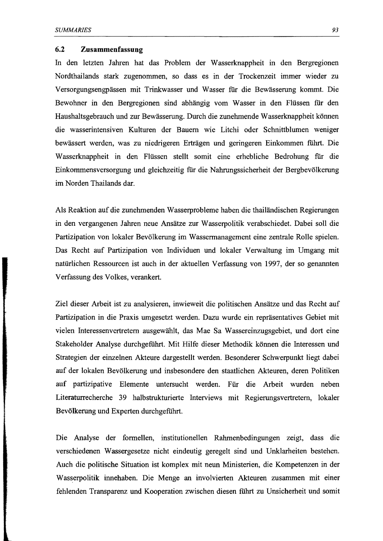## **6.2 Zusammenfassung**

In den letzten Jahren hat das Problem der Wasserknappheit in den Bergregionen Nordthailands stark zugenommen, so dass es in der Trockenzeit immer wieder zu Versorgungsengpässen mit Trinkwasser und Wasser fiir die Bewässerung kommt. Die Bewohner in den Bergregionen sind abhängig vom Wasser in den Flüssen fiir den Haushaltsgebrauch und zur Bewässerung. Durch die zunehmende Wasserknappheit können die wasserintensiven Kulturen der Bauern wie Litchi oder Schnittblumen weniger bewässert werden, was zu niedrigeren Erträgen und geringeren Einkommen führt. Die Wasserknappheit in den Flüssen stellt somit eine erhebliche Bedrohung fiir die Einkommensversorgung und gleichzeitig fiir die Nahrungssicherheit der Bergbevölkerung im Norden Thailands dar.

Als Reaktion auf die zunehmenden Wasserprobleme haben die thailändischen Regierungen in den vergangenen Jahren neue Ansätze zur Wasserpolitik verabschiedet. Dabei soll die Partizipation von lokaler Bevölkerung im Wassennanagement eine zentrale Rolle spielen. Das Recht auf Partizipation von Individuen und lokaler Verwaltung im Umgang mit natürlichen Ressourcen ist auch in der aktuellen Verfassung von 1997, der so genannten Verfassung des Volkes, verankert.

Ziel dieser Arbeit ist zu analysieren, inwieweit die politischen Ansätze und das Recht auf Partizipation in die Praxis umgesetzt werden. Dazu wurde ein repräsentatives Gebiet mit vielen Interessenvertretern ausgewählt, das Mae Sa Wassereinzugsgebiet, und dort eine Stakeholder Analyse durchgeführt. Mit Hilfe dieser Methodik können die Interessen und Strategien der einzelnen Akteure dargestellt werden. Besonderer Schwerpunkt liegt dabei auf der lokalen Bevölkerung und insbesondere den staatlichen Akteuren, deren Politiken auf partizipative Elemente untersucht werden. Für die Arbeit wurden neben Literaturrecherche 39 halbstrukturierte Interviews mit Regierungsvertretern, lokaler Bevölkerung und Experten durchgeführt.

Die Analyse der fonnellen, institutionellen Rahmenbedingungen zeigt, dass die verschiedenen Wassergesetze nicht eindeutig geregelt sind und Unklarheiten bestehen. Auch die politische Situation ist komplex mit neun Ministerien, die Kompetenzen in der Wasserpolitik innehaben. Die Menge an involvierten Akteuren zusammen mit einer fehlenden Transparenz und Kooperation zwischen diesen führt zu Unsicherheit und somit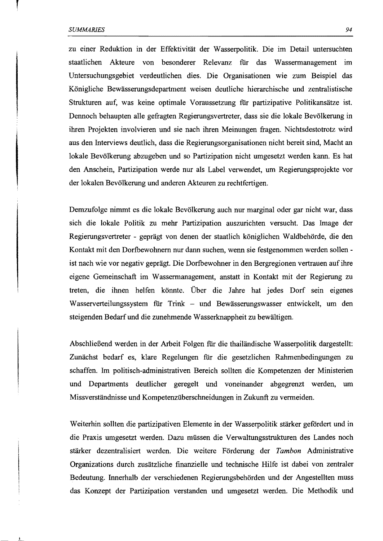zu einer Reduktion in der Effektivität der Wasserpolitik. Die im Detail untersuchten staatlichen Akteure von besonderer Relevanz für das Wassermanagement im Untersuchungsgebiet verdeutlichen dies. Die Organisationen wie zum Beispiel das Königliche Bewässerungsdepartment weisen deutliche hierarchische und zentralistische Strukturen auf, was keine optimale Voraussetzung für partizipative Politikansätze ist. Dennoch behaupten alle gefragten Regierungsvertreter, dass sie die lokale Bevölkerung in ihren Projekten involvieren und sie nach ihren Meinungen fragen. Nichtsdestotrotz wird aus den Interviews deutlich, dass die Regierungsorganisationen nicht bereit sind, Macht an lokale Bevölkerung abzugeben und so Partizipation nicht umgesetzt werden kann. Es hat den Anschein, Partizipation werde nur als Label verwendet, um Regierungsprojekte vor der lokalen Bevölkerung und anderen Akteuren zu rechtfertigen.

Demzufolge nimmt es die lokale Bevölkerung auch nur marginal oder gar nicht war, dass sich die lokale Politik zu mehr Partizipation auszurichten versucht. Das Image der Regierungsvertreter - geprägt von denen der staatlich königlichen Waldbehörde, die den Kontakt mit den Dorfbewohnern nur dann suchen, wenn sie festgenommen werden sollen ist nach wie vor negativ geprägt. Die Dorfbewohner in den Bergregionen vertrauen auf ihre eigene Gemeinschaft im Wassermanagement, anstatt in Kontakt mit der Regierung zu treten, die ihnen helfen könnte. Über die Jahre hat jedes Dorf sein eigenes Wasserverteilungssystem für Trink - und Bewässerungswasser entwickelt, um den steigenden Bedarf und die zunehmende Wasserknappheit zu bewältigen.

Abschließend werden in der Arbeit Folgen für die thailändische Wasserpolitik dargestellt: Zunächst bedarf es, klare Regelungen für die gesetzlichen Rahmenbedingungen zu schaffen. Im politisch-administrativen Bereich sollten die Kompetenzen der Ministerien und Departments deutlicher geregelt und voneinander abgegrenzt werden, um Missverständnisse und Kompetenzüberschneidungen in Zukunft zu vermeiden.

Weiterhin sollten die partizipativen Elemente in der Wasserpolitik stärker gefördert und in die Praxis umgesetzt werden. Dazu müssen die Verwaltungsstrukturen des Landes noch stärker dezentralisiert werden. Die weitere Förderung der *Tambon* Administrative Organizations durch zusätzliche finanzielle und technische Hilfe ist dabei von zentraler Bedeutung. Innerhalb der verschiedenen Regierungsbehörden und der Angestellten muss das Konzept der Partizipation verstanden und umgesetzt werden. Die Methodik und